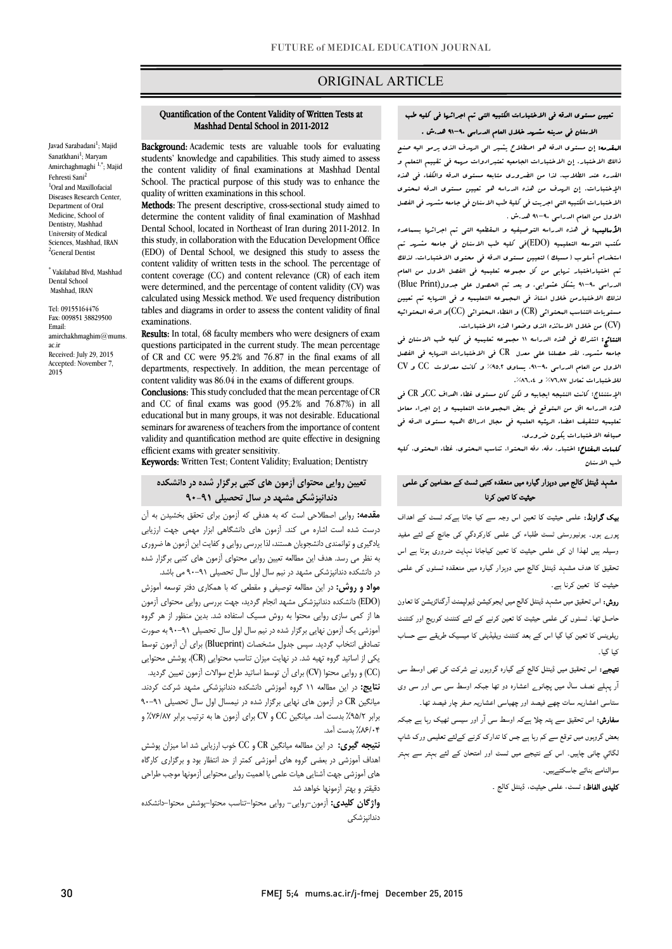# ORIGINAL ARTICLE

# تعیین مستوي الدقه فی الاختبارات الکتبیه التی تم اجرائها فی کلیه طب الاسنان فی مدینه مشهد خلال العام الدراسی 91-90 هد.ش .

Ī  $\overline{\phantom{a}}$ 

البقدمه: إن مستوى الدقه هو اصطلاح یشیر الی الرسف الذي یرمو الیه صنع<br>الله علیه است و الله است الله یک الله الله القدره عند الطلاب. لذا من الضروري متابعه مستوي الدقه والکفاء فی هذه الإختبارات. إن الهدف من هذه الدراسه هو تعیین مستوي الدقه لمحتوي الاختبارات الکتبیه التی اجریت فی کلیۀ طب الاسنان فی جامعه مشهد فی الفصل الاول من العام الدراسی 91-90 هد.ش . ذالک الاختبار. إن الاختبارات الجامعیه تعتبرادوات مهمه فی تقییم التعلم و

ا**لأسالیب:** فی هذه الدراسه التوصیفیه و البقطعیه التی تم اجرائها بسساعده<br>کرمیسیده بسینی (EDO): یک اسماعیل بسینی بسینی استخدام أسلوب (مسیک) لتعیین مستوي الدقه فی محتوي الاختبارات. لذلک تم اختیاراختبار نهایی من کل مجموعه تعلیمیه فی الفصل الاول من العام الدراسی 91-90 بشکل عشوایی. و بعد تم الحصول علی جدول(Print Blue( لذلک الاختبارمن خلال استاذ فی المجموعه التعلیمیه و فی النهایه تم تعیین مستویات التناسب المحتوائی (CR) و الفطاء المحتوائی (CC)و الدقه المحتوائیه<br>CN) مکتب التوسعه التعلیمیه (EDO(فی کلیه طب الاسنان فی جامعه مشهد تم (CV (من خلال الاساتذه الذي وضعوا هذه الاختبارات.

 النتائج: اشترك فی هذه الدراسه 11 مجموعه تعلیمیه فی کلیه طب الاسنان فی جامعه مشهد. لقد حصلنا علی معدل CR فی الاختبارات النهایه فی الفصل الاول من العام الدراسی ،91-90 یساوي %95,2 و کانت معدلات CC و CV للاختبارات تعادل ۷٦٫۸۷% و ۸٦٫۶<mark>۸٪.</mark><br>.

 الإستنتاج: کانت النتیجه ایجابیه و لکن کان مستوي غطاء اهداف CCو CR فی تعلیمیه لتثقیف اعضاء الهئیه العلمیه فی مجال ادراك اهمیه مستوي الدقه فی صیاغه الاختبارات یکون ضروري. هذه الدراسه اقل من المتوقع فی بعض المجموعات التعلیمیه و إن اجراء معامل

 کلمات المفتاح: اختبار، دقه، دقه المحتوا، تناسب المحتوي، غطاء المحتوي، کلیه طب الاسنان

### مشہد ڈینٹل کالج میں دوہزار گیارہ میں منعقدہ کتب*ی ٹسٹ کے* مضامین ک*ی* علمی حیثیت کا تعین کرنا

**یک گراونڈ:** علمی حیثیت کا تعین اس وجہ سے کیا جاتا ہےکہ *ٹسٹ* کے اہداف ۔<br>بورے ہوں۔ یونیورسٹی ٹسٹ طلباء کی علمی کارکردگي کی جانچ کے لئے مفید ۔<br>وسیلہ ہیں لھذا ان کی علمی حیثیت کا تعین کیاجانا نہایت ضروری ہوتا ہے اس ۔<br>نحقیق کا ہدف مشہد ڈینٹل کالج میں دوہزار گیارہ میں منعقدہ ٹسٹوں کی علمی ۔<br>حیثیت کا تعین کرنا ہے۔

ر**وش:** اس تحقیق میں مشہد ڈینٹل کالج میں ایجوکیشن ڈیولپمنٹ آرگنائزیشن کا تعاون ۔<br>حاصل تھا۔ ٹسٹوں کی علمی حیثیت کا تعین کرنے کے لئے کنٹنٹ کوریج اور کنٹنٹ ۔<br>ریلوینس کا تعین کیا گیا اس کے بعد کنٹنٹ ویلیڈیٹی کا میسیک طریقے سے حساب کیا گیا۔

۔<br>ت**یہجے:** اس تحقیق میں ڈینٹل کالج کے گیارہ گروہوں نے شرکت کی تھی اوسط سی آر ل ے ارہ دو او اور وی ر پہنے ۔<br>ستاسی اعشاریہ سات چھے فیصد اور چھیاسی اعشاریہ صفر چار فیصد تھا۔

ی میں ہوتے ہیں ہے کہ اس کا اس میں اس کا اس کا اس میں ہے۔<br>**سفارش:** اس تحقیق سے پتہ چلا ہےکہ اوسط سی آر اور سیسی ٹھیک رہا ہے جبکہ سدرس، من دعیں سے پتہ پتر ہےجہ مرست سی از اور سیسی بہت رہا ہے جب ہہ<br>بعض گروہوں میں توقع سے کم رہا ہے جس کا تدارک کرنے کےلئے تعلیمی ورک شاپ  $\overline{a}$ گائي چانی چاٻيں۔ اس کے نتيجے ميں ٹسٹ اور امتحان کے لئے بہتر سے بہتر<br>۔ سوالنامے بنائے جاسکتےہیں۔<br>'

**کلیدی الفاظ:** ٹسٹ، علمی حیثیت، ڈینٹل کالج ۔<br>۔

# Quantification of the Content Validity of Written Tests at Mashhad Dental School in 2011-2012

Ī ֦

Background: Academic tests are valuable tools for evaluating **EXAMPLO CONSTRANT CONSTRANT CONSTRANT CONSTRANT CONSTRANT STUDENTS**  the content validity of final examinations at Mashhad Dental School. The practical purpose of this study was to enhance the<br>syndim of pritter examinations in this school. quality of written examinations in this school.

**Methods:** The present descriptive, cross-sectional study aimed to determine the content validity of final examination of Mashhad this study, in collaboration with the Education Development Office (EDO) of Dental School, we designed this study to assess the content validity of written tests in the school. The percentage of<br>content coverage (CC) and content relevance (CR) of each item were determined, and the percentage of content validity (CV) was calculated using Messick method. We used frequency distribution tables and diagrams in order to assess the content validity of final<br>examinations Dental School, located in Northeast of Iran during 2011-2012. In content validity of written tests in the school. The percentage of examinations.

Results: In total, 68 faculty members who were designers of exam quesuons parucipated in the current study. The mean percentage<br>of CR and CC were 95.2% and 76.87 in the final exams of all departments, respectively. In addition, the mean percentage of content validity was 86.04 in the exams of different groups. questions participated in the current study. The mean percentage

 and CC of final exams was good (95.2% and 76.87%) in all educational but in many groups, it was not desirable. Educational seminars tor awareness of teachers from the importance of content<br>validity and quantification method are quite effective in designing Conclusions: This study concluded that the mean percentage of CR seminars for awareness of teachers from the importance of content efficient exams with greater sensitivity.

Keywords: Written Test; Content Validity; Evaluation; Dentistry

# **تعیین روایی محتواي آزمون هاي کتبی برگزار شده در دانشکده دندانپزشکی مشهد در سال تحصیلی 90-91**

 **مقدمه:** روایی اصطلاحی است که به هدفی که آزمون براي تحقق بخشیدن به آن درست شده است اشاره می کند. آزمون هاي دانشگاهی ابزار مهمی جهت ارزیابی یادگیري و توانمندي دانشجویان هستند، لذا بررسی روایی و کفایت این آزمون ها ضروري به نظر می رسد. هدف این مطالعه تعیین روایی محتوای آزمون های کتبی برگزار شده<br>. در دانشکده دندانپزشکی مشهد در نیم سال اول سال تحصیلی 90-91 می باشد.

مواد و استانک *دنداپورهایی تسهد در یهم* سال اول سال حصیبی ۲۰۰۰ می باسد.<br>**مواد و روش:** در این مطالعه توصیفی و مقطعی که با همکاری دفتر توسعه آموزش (EDO (دانشکده دندانپزشکی مشهد انجام گردید، جهت بررسی روایی محتواي آزمون ها از کمی سازي روایی محتوا به روش مسیک استفاده شد. بدین منظور از هر گروه آموزشی یک آزمون نهایی برگزار شده در نیم سال اول سال تحصیلی 90-91 به صورت تصادفی انتخاب گردید. سپس جدول مشخصات (Blueprint (براي آن آزمون توسط یکی از اساتید گروه تهیه شد. در نهایت میزان تناسب محتوایی (CR)، پوشش محتوایی (CC (و روایی محتوا (CV (براي آن توسط اساتید طراح سوالات آزمون تعیین گردید. مدينی، در اين هشتند ۱۰ دروه امورسی دانشنده ننداپوستی هستند سر ت.<br>میانگین CR در آزمون های نهایی برگزار شده در نیمسال اول سال تحصیلی ۹۱-۹۰  $\epsilon$ **نتایج:** در این مطالعه 11 گروه آموزشی دانشکده دندانپزشکی مشهد شرکت کردند. برابر %95/2 بدست آمد. میانگین CC و CV براي آزمون ها به ترتیب برابر %76/87 و %86/04 بدست آمد.

 **نتیجه گیري:** در این مطالعه میانگین CR و CC خوب ارزیابی شد اما میزان پوشش اهداف آموزشی در بعضی گروه هاي آموزشی کمتر از حد انتظار بود و برگزاري کارگاه هاي آموزشی جهت آشنایی هیات علمی با اهمیت روایی محتوایی آزمونها موجب طراحی دقیقتر و بهتر آزمونها خواهد شد

 **واژگان کلیدي:** آزمون-روایی- روایی محتوا-تناسب محتوا-پوشش محتوا-دانشکده دندانپزشکی

Javad Sarabadani<sup>1</sup>; Majid Sanatkhani<sup>1</sup>; Maryam Amirchaghmaghi<sup>1,\*</sup>; Majid Fehresti Sani<sup>2</sup> 1 Oral and Maxillofacial Diseases Research Center, Department of Oral Medicine, School of Dentistry, Mashhad University of Medical Sciences, Mashhad, IRAN <sup>2</sup>General Dentist

\* Vakilabad Blvd, Mashhad Dental School Mashhad, IRAN

Tel: 09155164476 Fax: 009851 38829500 Email: amirchakhmaghim@mums. ac.ir Received: July 29, 2015 Accepted: November 7, 2015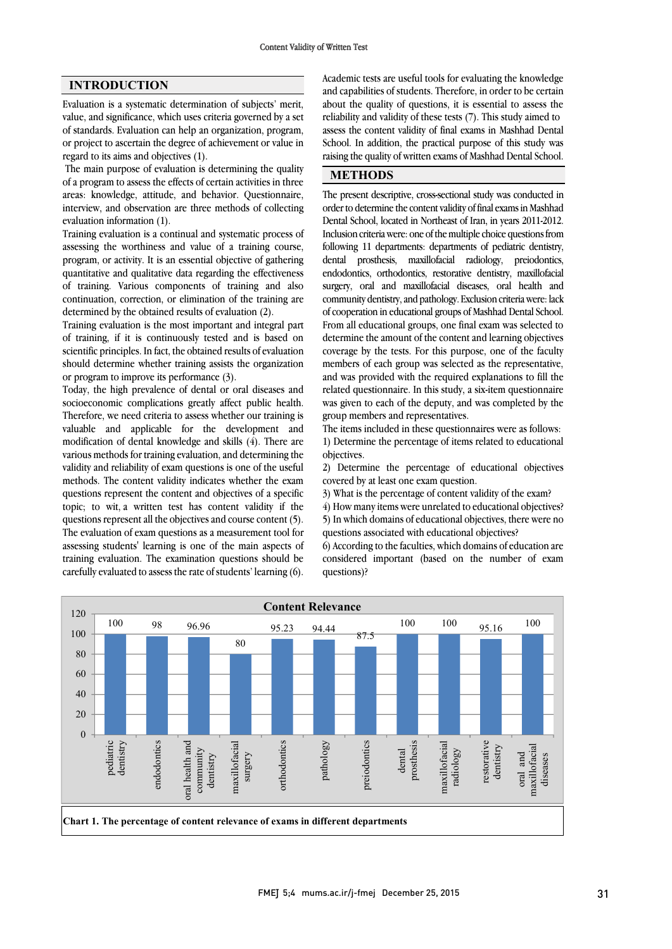Evaluation is a systematic determination of subjects' merit, value, and significance, which uses criteria governed by a set of standards. Evaluation can help an organization, program, or project to ascertain the degree of achievement or value in regard to its aims and objectives (1).

The main purpose of evaluation is determining the quality of a program to assess the effects of certain activities in three areas: knowledge, attitude, and behavior. Questionnaire, interview, and observation are three methods of collecting evaluation information (1).

Training evaluation is a continual and systematic process of assessing the worthiness and value of a training course, program, or activity. It is an essential objective of gathering quantitative and qualitative data regarding the effectiveness of training. Various components of training and also continuation, correction, or elimination of the training are determined by the obtained results of evaluation (2).

Training evaluation is the most important and integral part of training, if it is continuously tested and is based on scientific principles. In fact, the obtained results of evaluation should determine whether training assists the organization or program to improve its performance (3).

Today, the high prevalence of dental or oral diseases and socioeconomic complications greatly affect public health. Therefore, we need criteria to assess whether our training is valuable and applicable for the development and modification of dental knowledge and skills (4). There are various methods for training evaluation, and determining the validity and reliability of exam questions is one of the useful methods. The content validity indicates whether the exam questions represent the content and objectives of a specific topic; to wit, a written test has content validity if the questions represent all the objectives and course content (5). The evaluation of exam questions as a measurement tool for assessing students' learning is one of the main aspects of training evaluation. The examination questions should be carefully evaluated to assess the rate of students' learning (6).

**INTRODUCTION**<br> **INTRODUCTION**<br>
Academic tests are useful tools for evaluating the knowledge and capabilities of students. Therefore, in order to be certain about the quality of questions, it is essential to assess the reliability and validity of these tests (7). This study aimed to School. In addition, the practical purpose of this study was raising the quality of written exams of Mashhad Dental School. assess the content validity of final exams in Mashhad Dental

# **METHODS**

 The present descriptive, cross-sectional study was conducted in order to determine the content validity of final exams in Mashhad Dental School, located in Northeast of Iran, in years 2011-2012. Inclusion criteria were: one of the multiple choice questions from following 11 departments: departments of pediatric dentistry, endodontics, orthodontics, restorative dentistry, maxillofacial surgery, oral and maxillofacial diseases, oral health and community dentistry, and pathology. Exclusion criteria were: lack of cooperation in educational groups of Mashhad Dental School. determine the amount of the content and learning objectives coverage by the tests. For this purpose, one of the faculty members of each group was selected as the representative, and was provided with the required explanations to fin the related questionnaire. In this study, a six-item questionnaire was given to each of the deputy, and was completed by the group members and representatives. dental prosthesis, maxillofacial radiology, preiodontics, From all educational groups, one final exam was selected to and was provided with the required explanations to fill the

 The items included in these questionnaires were as follows: objectives. 1) Determine the percentage of items related to educational

 2) Determine the percentage of educational objectives covered by at least one exam question.

3) What is the percentage of content validity of the exam?

4) How many items were unrelated to educational objectives?

 5) In which domains of educational objectives, there were no questions associated with educational objectives?

 6) According to the faculties, which domains of education are considered important (based on the number of exam questions)?

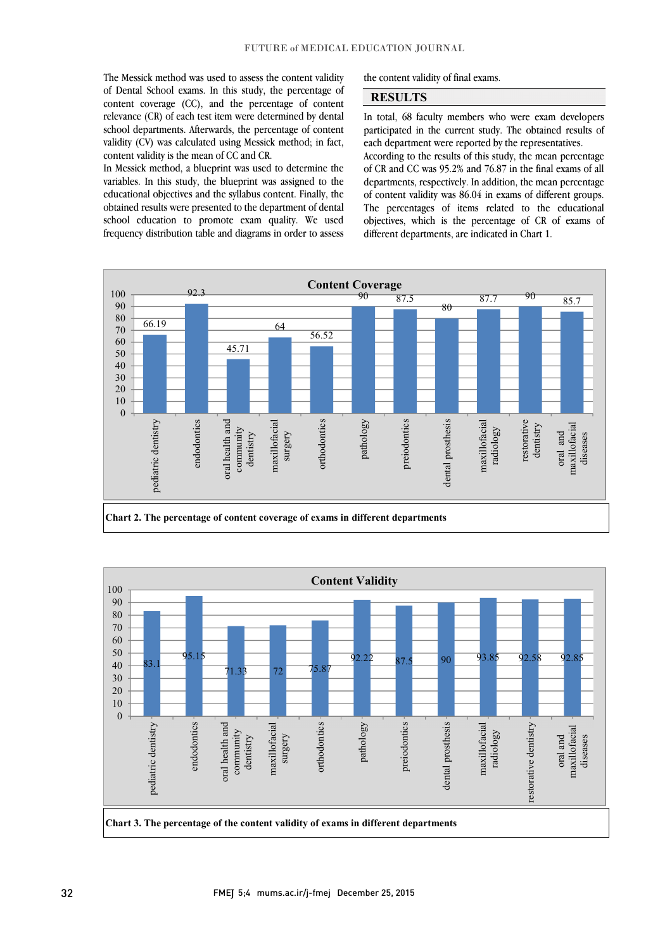The Messick method was used to assess the content validity of Dental School exams. In this study, the percentage of content coverage (CC), and the percentage of content relevance (CR) of each test item were determined by dental validity (CV) was calculated using Messick method; in fact, school departments. Afterwards, the percentage of content content validity is the mean of CC and CR.

 In Messick method, a blueprint was used to determine the variables. In this study, the blueprint was assigned to the<br>educational objectives and the syllabus content. Finally, the obtained results were presented to the department of dental school education to promote exam quality. We used frequency distribution table and diagrams in order to assess variables. In this study, the blueprint was assigned to the the content validity of final exams.

### **RESULTS**

 In total, 68 faculty members who were exam developers each department were reported by the representatives. participated in the current study. The obtained results of

l 

 of CR and CC was 95.2% and 76.87 in the final exams of all of content validity was 86.04 in exams of different groups. The percentages of items related to the educational objectives, which is the percentage of CR of exams of According to the results of this study, the mean percentage departments, respectively. In addition, the mean percentage different departments, are indicated in Chart 1.



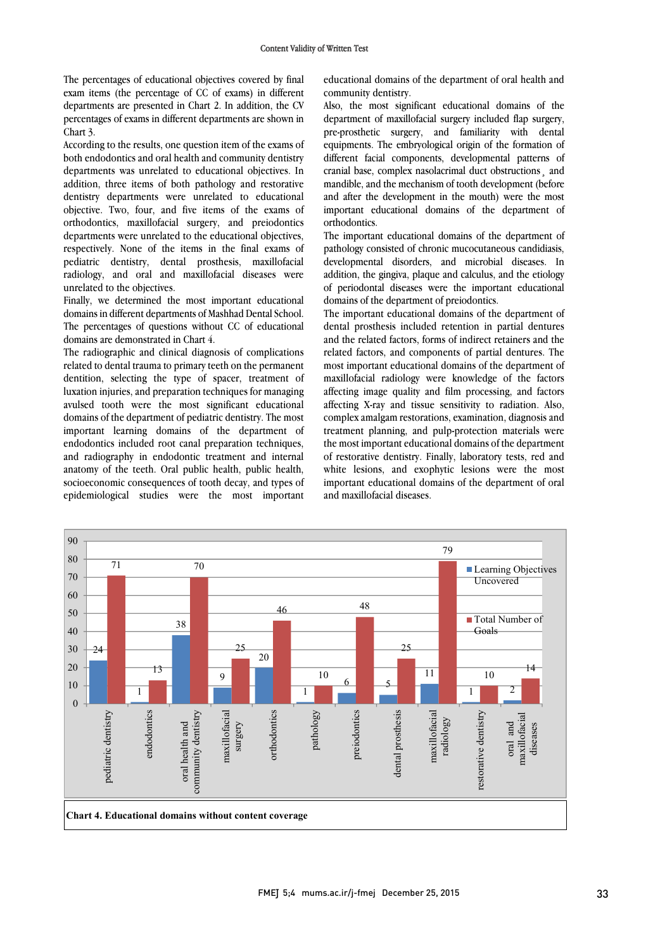The percentages of educational objectives covered by final exam items (the percentage of CC of exams) in different departments are presented in Chart 2. In addition, the CV percentages of exams in different departments are shown in Chart 3.

According to the results, one question item of the exams of both endodontics and oral health and community dentistry departments was unrelated to educational objectives. In addition, three items of both pathology and restorative dentistry departments were unrelated to educational objective. Two, four, and five items of the exams of orthodontics, maxillofacial surgery, and preiodontics departments were unrelated to the educational objectives, respectively. None of the items in the final exams of pediatric dentistry, dental prosthesis, maxillofacial radiology, and oral and maxillofacial diseases were unrelated to the objectives.

Finally, we determined the most important educational domains in different departments of Mashhad Dental School. The percentages of questions without CC of educational domains are demonstrated in Chart 4.

The radiographic and clinical diagnosis of complications related to dental trauma to primary teeth on the permanent dentition, selecting the type of spacer, treatment of luxation injuries, and preparation techniques for managing avulsed tooth were the most significant educational domains of the department of pediatric dentistry. The most important learning domains of the department of endodontics included root canal preparation techniques, and radiography in endodontic treatment and internal anatomy of the teeth. Oral public health, public health, socioeconomic consequences of tooth decay, and types of epidemiological studies were the most important  educational domains of the department of oral health and community dentistry.

 Also, the most significant educational domains of the department of maxillofacial surgery included flap surgery, pre-prosthetic surgery, and familiarity with dental different facial components, developmental patterns of cranial base, complex nasolacrimal duct obstructions¸ and mandible, and the mechanism of tooth development (before important educational domains of the department of orthodontics. equipments. The embryological origin of the formation of and after the development in the mouth) were the most

 The important educational domains of the department of pathology consisted of chronic mucocutaneous candidiasis, addition, the gingiva, plaque and calculus, and the etiology of periodontal diseases were the important educational domains of the department of preiodontics. developmental disorders, and microbial diseases. In

 The important educational domains of the department of and the related factors, forms of indirect retainers and the related factors, and components of partial dentures. The most important educational domains of the department of maxillofacial radiology were knowledge of the factors affecting mage quanty and time processing, and factors complex amalgam restorations, examination, diagnosis and treatment planning, and pulp-protection materials were of restorative dentistry. Finally, laboratory tests, red and white lesions, and exophytic lesions were the most important educational domains of the department of oral and maxillofacial diseases. dental prosthesis included retention in partial dentures affecting image quality and film processing, and factors the most important educational domains of the department

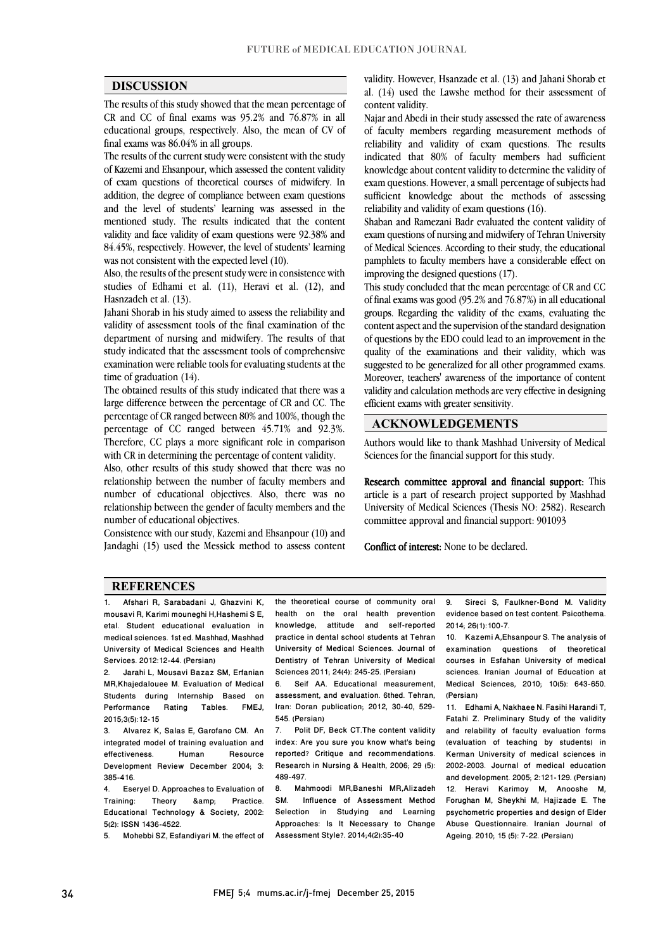$\overline{a}$  $\overline{a}$ 

### **DISCUSSION**

 The results of this study showed that the mean percentage of CR and CC of final exams was 95.2% and 76.87% in all educational groups, respectively. Also, the mean of CV of  $f_{\text{inel}}$  are  $mg \approx 86.04\%$  in all groups. final exams was 86.04% in all groups.

 The results of the current study were consistent with the study of Kazemi and Ehsanpour, which assessed the content validity of exam questions of theoretical courses of midwifery. In and the level of students' learning was assessed in the mentioned study. The results indicated that the content validity and face validity of exam questions were 92.38% and 84.45%, respectively. However, the level of students' learning addition, the degree of compliance between exam questions was not consistent with the expected level (10).

Also, the results of the present study were in consistence with studies of Edhami et al. (11), Heravi et al. (12), and Hasnzadeh et al. (13).

Jahani Shorab in his study aimed to assess the reliability and validity of assessment tools of the final examination of the department of nursing and midwifery. The results of that study indicated that the assessment tools of comprehensive examination were reliable tools for evaluating students at the time of graduation (14).

The obtained results of this study indicated that there was a large difference between the percentage of CR and CC. The percentage of CR ranged between 80% and 100%, though the percentage of CC ranged between 45.71% and 92.3%. Therefore, CC plays a more significant role in comparison with CR in determining the percentage of content validity.

Also, other results of this study showed that there was no relationship between the number of faculty members and number of educational objectives. Also, there was no relationship between the gender of faculty members and the number of educational objectives.

Consistence with our study, Kazemi and Ehsanpour (10) and Jandaghi (15) used the Messick method to assess content

 validity. However, Hsanzade et al. (13) and Jahani Shorab et al.  $(14)$  used the Lawshe method for their assessment of content validity.

 Najar and Abedi in their study assessed the rate of awareness reliability and validity of exam questions. The results indicated that 80% of faculty members had sufficient knowledge about content validity to determine the validity of exam questions. However, a small percentage of subjects had sufficient knowledge about the methods of assessing reliability and validity of exam questions  $(16)$ of faculty members regarding measurement methods of reliability and validity of exam questions (16).

 Shaban and Ramezani Badr evaluated the content validity of exam questions of nursing and midwifery of Tehran University of Medical Sciences. According to their study, the educational pamphlets to faculty members have a considerable effect on<br>improving the designed questions (17) improving the designed questions (17).

 This study concluded that the mean percentage of CR and CC of final exams was good (95.2% and 76.87%) in all educational groups. Regarding the validity of the exams, evaluating the of questions by the EDO could lead to an improvement in the quality of the examinations and their validity, which was suggested to be generalized for all other programmed exams. Moreover, teachers' awareness of the importance of content<br>militimos declaritation mathedra comme of estimate declaring validity and calculation methods are very effective in designing<br>efficient exams with greater sensitivity content aspect and the supervision of the standard designation efficient exams with greater sensitivity.

### **ACKNOWLEDGEMENTS**

 $\overline{a}$ Authors would like to thank Mashhad University of Medical<br>Saisness for the financial sympact for this study. Sciences for the financial support for this study.

Research committee approval and financial support: This article is a part of research project supported by Mashhad committee approval and financial support: 901093 University of Medical Sciences (Thesis NO: 2582). Research

Conflict of interest: None to be declared.

### **REFERENCES**

1. Afshari R, Sarabadani J, Ghazvini K, mousavi R, Karimi mouneghi H,Hashemi S E, etal. Student educational evaluation in medical sciences. 1st ed. Mashhad, Mashhad University of Medical Sciences and Health Services. 2012:12-44. (Persian)

2. Jarahi L, Mousavi Bazaz SM, Erfanian MR,Khajedalouee M. Evaluation of Medical Students during Internship Based on<br>Performance Rating Tables. FMEJ, Performance 2015;3(5):12-15

3. Alvarez K, Salas E, Garofano CM. An integrated model of training evaluation and effectiveness. Human Resource Development Review December 2004; 3: 385-416.

4. Eseryel D. Approaches to Evaluation of Training: Theory & amp; Practice. Educational Technology & Society, 2002: 5(2): ISSN 1436-4522.

5. Mohebbi SZ, Esfandiyari M. the effect of

the theoretical course of community oral health on the oral health prevention knowledge, attitude and self-reported practice in dental school students at Tehran University of Medical Sciences. Journal of Dentistry of Tehran University of Medical Sciences 2011; 24(4): 245-25. (Persian)<br>6 Seif AA Educational measure

6. Seif AA. Educational measurement, assessment, and evaluation. 6thed. Tehran, Iran: Doran publication; 2012, 30-40, 529- 545. (Persian)

7. Polit DF, Beck CT.The content validity index: Are you sure you know what's being reported? Critique and recommendations. Research in Nursing & Health, 2006; 29 (5): 489-497.

Selection in Studying and Learning Assessment Style?. 2014;4(2):35-40 8. Mahmoodi MR,Baneshi MR,Alizadeh<br>SM Influence of Assessment Method Influence of Assessment Method Approaches: Is It Necessary to Change

 9. Sireci S, Faulkner-Bond M. Validity evidence based on test content. Psicothema. 2014; 26(1):100-7.

i<br>I

I

2014; 26(1):100-7.<br>10. Kazemi A,Ehsanpour S. The analysis of examination questions of theoretical courses in Esfahan University of medical Medical Sciences, 2010; 10(5): 643-650. sciences. Iranian Journal of Education at (Persian)

 11. Edhami A, Nakhaee N. Fasihi Harandi T, and relability of faculty evaluation forms (evaluation of teaching by students) in 2002-2003. Journal of medical education and development. 2005; 2:121-129. (Persian) 12. Heravi Karimoy M, Anooshe M, psychometric properties and design of Elder Abuse Questionnaire. Iranian Journal of Ageing. 2010; 15 (5): 7-22. (Persian) Fatahi Z. Preliminary Study of the validity Kerman University of medical sciences in Forughan M, Sheykhi M, Hajizade E. The